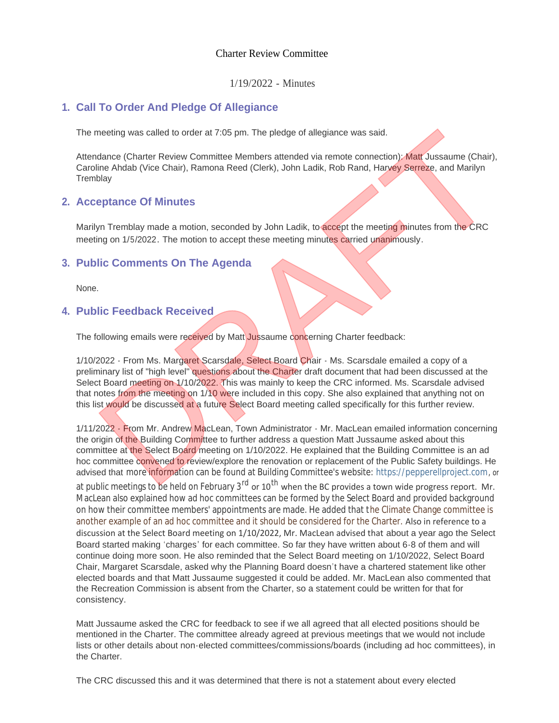### Charter Review Committee

1/19/2022 - Minutes

# **Call To Order And Pledge Of Allegiance 1.**

The meeting was called to order at 7:05 pm. The pledge of allegiance was said.

Attendance (Charter Review Committee Members attended via remote connection): Matt Jussaume (Chair), Caroline Ahdab (Vice Chair), Ramona Reed (Clerk), John Ladik, Rob Rand, Harvey Serreze, and Marilyn **Tremblay** 

### **Acceptance Of Minutes 2.**

Marilyn Tremblay made a motion, seconded by John Ladik, to accept the meeting minutes from the CRC meeting on 1/5/2022. The motion to accept these meeting minutes carried unanimously.

# **Public Comments On The Agenda 3.**

None.

## **Public Feedback Received 4.**

The following emails were received by Matt Jussaume concerning Charter feedback:

1/10/2022 - From Ms. Margaret Scarsdale, Select Board Chair - Ms. Scarsdale emailed a copy of a preliminary list of "high level" questions about the Charter draft document that had been discussed at the Select Board meeting on 1/10/2022. This was mainly to keep the CRC informed. Ms. Scarsdale advised that notes from the meeting on 1/10 were included in this copy. She also explained that anything not on this list would be discussed at a future Select Board meeting called specifically for this further review.

1/11/2022 - From Mr. Andrew MacLean, Town Administrator - Mr. MacLean emailed information concerning the origin of the Building Committee to further address a question Matt Jussaume asked about this committee at the Select Board meeting on 1/10/2022. He explained that the Building Committee is an ad hoc committee convened to review/explore the renovation or replacement of the Public Safety buildings. He advised that more information can be found at Building Committee's website: https://pepperellproject.com, or at public meetings to be held on February 3<sup>rd</sup> or 10<sup>th</sup> when the BC provides a town wide progress report. Mr. MacLean also explained how ad hoc committees can be formed by the Select Board and provided background on how their committee members' appointments are made. He added that the Climate Change committee is another example of an ad hoc committee and it should be considered for the Charter. Also in reference to a discussion at the Select Board meeting on 1/10/2022, Mr. MacLean advised that about a year ago the Select Board started making 'charges' for each committee. So far they have written about 6-8 of them and will continue doing more soon. He also reminded that the Select Board meeting on 1/10/2022, Select Board Chair, Margaret Scarsdale, asked why the Planning Board doesn't have a chartered statement like other elected boards and that Matt Jussaume suggested it could be added. Mr. MacLean also commented that the Recreation Commission is absent from the Charter, so a statement could be written for that for consistency. meeting was called to order at 7:05 pm. The pledge of allegiance was said.<br>
dance (Charter Review Committee Members attended via remote connection). Matt Jussaume (Chair),<br>
blay<br>
blay<br>
blay<br>
blay<br>
primarics Of Minuttes<br>
yn

Matt Jussaume asked the CRC for feedback to see if we all agreed that all elected positions should be mentioned in the Charter. The committee already agreed at previous meetings that we would not include lists or other details about non-elected committees/commissions/boards (including ad hoc committees), in the Charter.

The CRC discussed this and it was determined that there is not a statement about every elected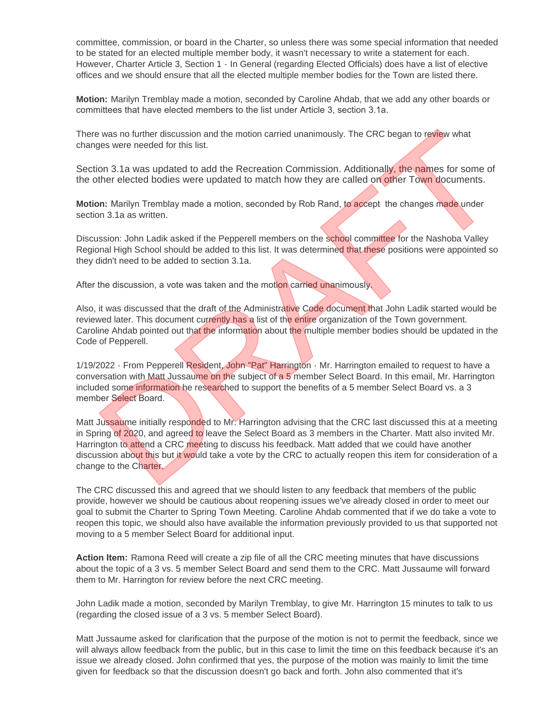committee, commission, or board in the Charter, so unless there was some special information that needed to be stated for an elected multiple member body, it wasn't necessary to write a statement for each. However, Charter Article 3, Section 1 - In General (regarding Elected Officials) does have a list of elective offices and we should ensure that all the elected multiple member bodies for the Town are listed there.

**Motion:** Marilyn Tremblay made a motion, seconded by Caroline Ahdab, that we add any other boards or committees that have elected members to the list under Article 3, section 3.1a.

There was no further discussion and the motion carried unanimously. The CRC began to review what changes were needed for this list.

Section 3.1a was updated to add the Recreation Commission. Additionally, the names for some of the other elected bodies were updated to match how they are called on other Town documents.

**Motion:** Marilyn Tremblay made a motion, seconded by Rob Rand, to accept the changes made under section 3.1a as written.

Discussion: John Ladik asked if the Pepperell members on the school committee for the Nashoba Valley Regional High School should be added to this list. It was determined that these positions were appointed so they didn't need to be added to section 3.1a.

After the discussion, a vote was taken and the motion carried unanimously.

Also, it was discussed that the draft of the Administrative Code document that John Ladik started would be reviewed later. This document currently has a list of the entire organization of the Town government. Caroline Ahdab pointed out that the information about the multiple member bodies should be updated in the Code of Pepperell.

1/19/2022 - From Pepperell Resident, John "Pat" Harrington - Mr. Harrington emailed to request to have a conversation with Matt Jussaume on the subject of a 5 member Select Board. In this email, Mr. Harrington included some information he researched to support the benefits of a 5 member Select Board vs. a 3 member Select Board.

Matt Jussaume initially responded to Mr. Harrington advising that the CRC last discussed this at a meeting in Spring of 2020, and agreed to leave the Select Board as 3 members in the Charter. Matt also invited Mr. Harrington to attend a CRC meeting to discuss his feedback. Matt added that we could have another discussion about this but it would take a vote by the CRC to actually reopen this item for consideration of a change to the Charter. was no further discussion and the motion carried unanimously. The CRC began to review what<br>ges were needed for this list.<br>The Recension Commission. Additionally, the names for some of<br>there elected bodies were updated to m

The CRC discussed this and agreed that we should listen to any feedback that members of the public provide, however we should be cautious about reopening issues we've already closed in order to meet our goal to submit the Charter to Spring Town Meeting. Caroline Ahdab commented that if we do take a vote to reopen this topic, we should also have available the information previously provided to us that supported not moving to a 5 member Select Board for additional input.

**Action Item:** Ramona Reed will create a zip file of all the CRC meeting minutes that have discussions about the topic of a 3 vs. 5 member Select Board and send them to the CRC. Matt Jussaume will forward them to Mr. Harrington for review before the next CRC meeting.

John Ladik made a motion, seconded by Marilyn Tremblay, to give Mr. Harrington 15 minutes to talk to us (regarding the closed issue of a 3 vs. 5 member Select Board).

Matt Jussaume asked for clarification that the purpose of the motion is not to permit the feedback, since we will always allow feedback from the public, but in this case to limit the time on this feedback because it's an issue we already closed. John confirmed that yes, the purpose of the motion was mainly to limit the time given for feedback so that the discussion doesn't go back and forth. John also commented that it's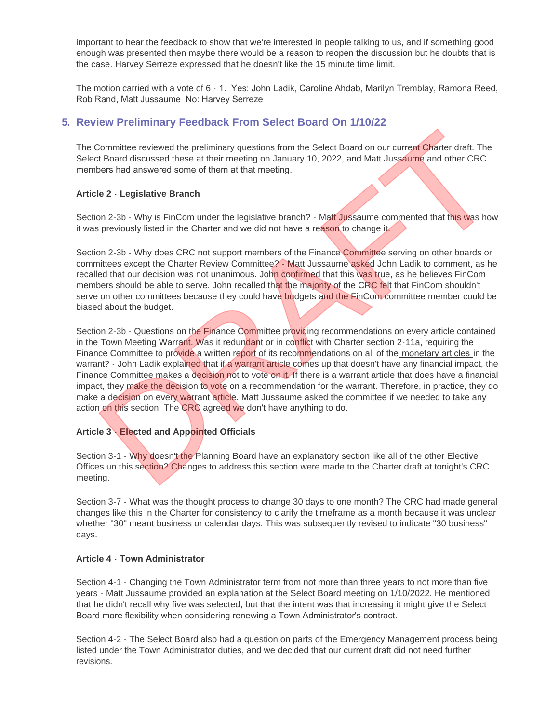important to hear the feedback to show that we're interested in people talking to us, and if something good enough was presented then maybe there would be a reason to reopen the discussion but he doubts that is the case. Harvey Serreze expressed that he doesn't like the 15 minute time limit.

The motion carried with a vote of 6 - 1. Yes: John Ladik, Caroline Ahdab, Marilyn Tremblay, Ramona Reed, Rob Rand, Matt Jussaume No: Harvey Serreze

# **Review Preliminary Feedback From Select Board On 1/10/22 5.**

The Committee reviewed the preliminary questions from the Select Board on our current Charter draft. The Select Board discussed these at their meeting on January 10, 2022, and Matt Jussaume and other CRC members had answered some of them at that meeting.

#### **Article 2 - Legislative Branch**

Section 2-3b - Why is FinCom under the legislative branch? - Matt Jussaume commented that this was how it was previously listed in the Charter and we did not have a reason to change it.

Section 2-3b - Why does CRC not support members of the Finance Committee serving on other boards or committees except the Charter Review Committee? - Matt Jussaume asked John Ladik to comment, as he recalled that our decision was not unanimous. John confirmed that this was true, as he believes FinCom members should be able to serve. John recalled that the majority of the CRC felt that FinCom shouldn't serve on other committees because they could have budgets and the FinCom committee member could be biased about the budget.

Section 2-3b - Questions on the Finance Committee providing recommendations on every article contained in the Town Meeting Warrant. Was it redundant or in conflict with Charter section 2-11a, requiring the Finance Committee to provide a written report of its recommendations on all of the monetary articles in the warrant? - John Ladik explained that if a warrant article comes up that doesn't have any financial impact, the Finance Committee makes a decision not to vote on it. If there is a warrant article that does have a financial impact, they make the decision to vote on a recommendation for the warrant. Therefore, in practice, they do make a decision on every warrant article. Matt Jussaume asked the committee if we needed to take any action on this section. The CRC agreed we don't have anything to do. Formitter reviewed the prelimining questions from the Select Board on our current Charter draft. The Board discussed these at their meeting on January 10, 2022, and Matt Jussaume and other CRC<br>
De 2 - Legislative Branch<br>
D

#### **Article 3 - Elected and Appointed Officials**

Section 3-1 - Why doesn't the Planning Board have an explanatory section like all of the other Elective Offices un this section? Changes to address this section were made to the Charter draft at tonight's CRC meeting.

Section 3-7 - What was the thought process to change 30 days to one month? The CRC had made general changes like this in the Charter for consistency to clarify the timeframe as a month because it was unclear whether "30" meant business or calendar days. This was subsequently revised to indicate "30 business" days.

#### **Article 4 - Town Administrator**

Section 4-1 - Changing the Town Administrator term from not more than three years to not more than five years - Matt Jussaume provided an explanation at the Select Board meeting on 1/10/2022. He mentioned that he didn't recall why five was selected, but that the intent was that increasing it might give the Select Board more flexibility when considering renewing a Town Administrator's contract.

Section 4-2 - The Select Board also had a question on parts of the Emergency Management process being listed under the Town Administrator duties, and we decided that our current draft did not need further revisions.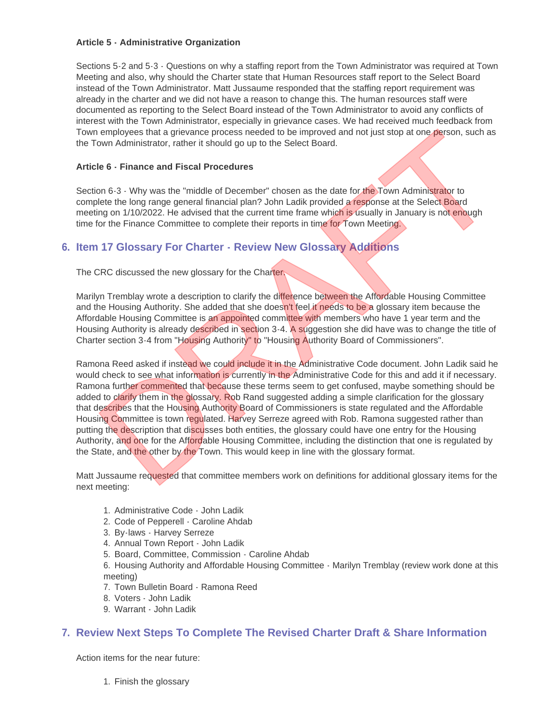#### **Article 5 - Administrative Organization**

Sections 5-2 and 5-3 - Questions on why a staffing report from the Town Administrator was required at Town Meeting and also, why should the Charter state that Human Resources staff report to the Select Board instead of the Town Administrator. Matt Jussaume responded that the staffing report requirement was already in the charter and we did not have a reason to change this. The human resources staff were documented as reporting to the Select Board instead of the Town Administrator to avoid any conflicts of interest with the Town Administrator, especially in grievance cases. We had received much feedback from Town employees that a grievance process needed to be improved and not just stop at one person, such as the Town Administrator, rather it should go up to the Select Board.

#### **Article 6 - Finance and Fiscal Procedures**

Section 6-3 - Why was the "middle of December" chosen as the date for the Town Administrator to complete the long range general financial plan? John Ladik provided a response at the Select Board meeting on 1/10/2022. He advised that the current time frame which is usually in January is not enough time for the Finance Committee to complete their reports in time for Town Meeting.

# **Item 17 Glossary For Charter - Review New Glossary Additions 6.**

The CRC discussed the new glossary for the Charter.

Marilyn Tremblay wrote a description to clarify the difference between the Affordable Housing Committee and the Housing Authority. She added that she doesn't feel it needs to be a glossary item because the Affordable Housing Committee is an appointed committee with members who have 1 year term and the Housing Authority is already described in section 3-4. A suggestion she did have was to change the title of Charter section 3-4 from "Housing Authority" to "Housing Authority Board of Commissioners".

Ramona Reed asked if instead we could include it in the Administrative Code document. John Ladik said he would check to see what information is currently in the Administrative Code for this and add it if necessary. Ramona further commented that because these terms seem to get confused, maybe something should be added to clarify them in the glossary. Rob Rand suggested adding a simple clarification for the glossary that describes that the Housing Authority Board of Commissioners is state regulated and the Affordable Housing Committee is town regulated. Harvey Serreze agreed with Rob. Ramona suggested rather than putting the description that discusses both entities, the glossary could have one entry for the Housing Authority, and one for the Affordable Housing Committee, including the distinction that one is regulated by the State, and the other by the Town. This would keep in line with the glossary format. is employees that a grievance process needed to be improved and not just stop at one person, such as<br>ewn Administrator, rather it should go up to the Select Board.<br>
16 6 - Finance and Fiscal Procedures<br>
16 6 - Finance and

Matt Jussaume requested that committee members work on definitions for additional glossary items for the next meeting:

- 1. Administrative Code John Ladik
- 2. Code of Pepperell Caroline Ahdab
- 3. By-laws Harvey Serreze
- 4. Annual Town Report John Ladik
- 5. Board, Committee, Commission Caroline Ahdab

6. Housing Authority and Affordable Housing Committee - Marilyn Tremblay (review work done at this meeting)

- 7. Town Bulletin Board Ramona Reed
- 8. Voters John Ladik
- 9. Warrant John Ladik

### **Review Next Steps To Complete The Revised Charter Draft & Share Information 7.**

Action items for the near future:

1. Finish the glossary